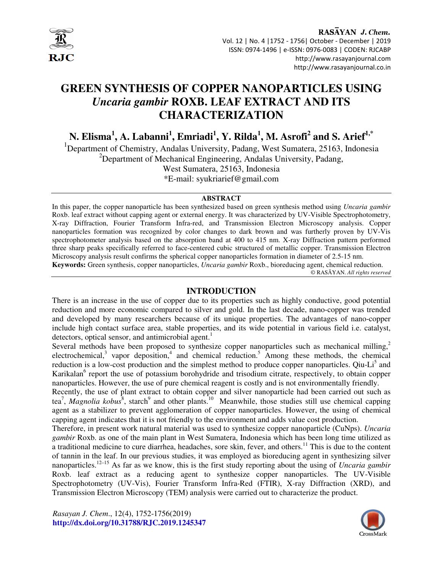

### RASAYAN J. Chem. Vol. 12 | No. 4 |1752 - 1756| October - December | 2019 ISSN: 0974-1496 | e-ISSN: 0976-0083 | CODEN: RJCABP http://www.rasayanjournal.com http://www.rasayanjournal.co.in

# **GREEN SYNTHESIS OF COPPER NANOPARTICLES USING**  *Uncaria gambir* **ROXB. LEAF EXTRACT AND ITS CHARACTERIZATION**

**N. Elisma<sup>1</sup> , A. Labanni<sup>1</sup> , Emriadi<sup>1</sup> , Y. Rilda<sup>1</sup> , M. Asrofi<sup>2</sup> and S. Arief1,\***

<sup>1</sup>Department of Chemistry, Andalas University, Padang, West Sumatera, 25163, Indonesia  $2D$ epartment of Mechanical Engineering, Andalas University, Padang, West Sumatera, 25163, Indonesia \*E-mail: syukriarief@gmail.com

#### **ABSTRACT**

In this paper, the copper nanoparticle has been synthesized based on green synthesis method using *Uncaria gambir* Roxb. leaf extract without capping agent or external energy. It was characterized by UV-Visible Spectrophotometry, X-ray Diffraction, Fourier Transform Infra-red, and Transmission Electron Microscopy analysis. Copper nanoparticles formation was recognized by color changes to dark brown and was furtherly proven by UV-Vis spectrophotometer analysis based on the absorption band at 400 to 415 nm. X-ray Diffraction pattern performed three sharp peaks specifically referred to face-centered cubic structured of metallic copper. Transmission Electron Microscopy analysis result confirms the spherical copper nanoparticles formation in diameter of 2.5-15 nm. **Keywords:** Green synthesis, copper nanoparticles, *Uncaria gambir* Roxb., bioreducing agent, chemical reduction.

© RASĀYAN. *All rights reserved*

### **INTRODUCTION**

There is an increase in the use of copper due to its properties such as highly conductive, good potential reduction and more economic compared to silver and gold. In the last decade, nano-copper was trended and developed by many researchers because of its unique properties. The advantages of nano-copper include high contact surface area, stable properties, and its wide potential in various field i.e. catalyst, detectors, optical sensor, and antimicrobial agent.<sup>1</sup>

Several methods have been proposed to synthesize copper nanoparticles such as mechanical milling, $\frac{2}{3}$ electrochemical,<sup>3</sup> vapor deposition,<sup>4</sup> and chemical reduction.<sup>5</sup> Among these methods, the chemical reduction is a low-cost production and the simplest method to produce copper nanoparticles. Qiu-Li<sup>5</sup> and Karikalan<sup>6</sup> report the use of potassium borohydride and trisodium citrate, respectively, to obtain copper nanoparticles. However, the use of pure chemical reagent is costly and is not environmentally friendly.

Recently, the use of plant extract to obtain copper and silver nanoparticle had been carried out such as tea<sup>7</sup>, *Magnolia kobus*<sup>8</sup>, starch<sup>9</sup> and other plants.<sup>10</sup> Meanwhile, those studies still use chemical capping agent as a stabilizer to prevent agglomeration of copper nanoparticles. However, the using of chemical capping agent indicates that it is not friendly to the environment and adds value cost production.

Therefore, in present work natural material was used to synthesize copper nanoparticle (CuNps). *Uncaria gambir* Roxb. as one of the main plant in West Sumatera, Indonesia which has been long time utilized as a traditional medicine to cure diarrhea, headaches, sore skin, fever, and others.<sup>11</sup> This is due to the content of tannin in the leaf. In our previous studies, it was employed as bioreducing agent in synthesizing silver nanoparticles.12–15 As far as we know, this is the first study reporting about the using of *Uncaria gambir* Roxb. leaf extract as a reducing agent to synthesize copper nanoparticles. The UV-Visible Spectrophotometry (UV-Vis), Fourier Transform Infra-Red (FTIR), X-ray Diffraction (XRD), and Transmission Electron Microscopy (TEM) analysis were carried out to characterize the product.

*Rasayan J. Chem*., 12(4), 1752-1756(2019) **http://dx.doi.org/10.31788/RJC.2019.1245347** 

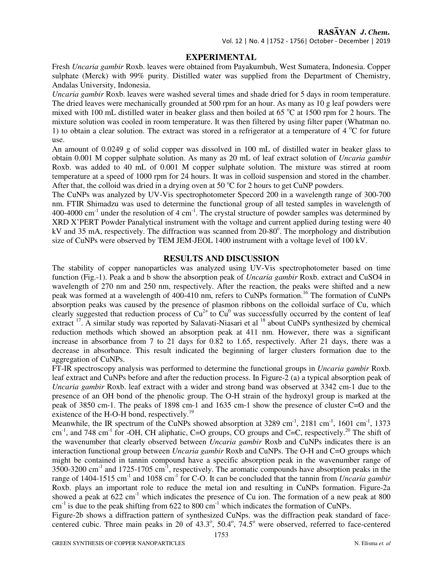### **EXPERIMENTAL**

Fresh *Uncaria gambir* Roxb. leaves were obtained from Payakumbuh, West Sumatera, Indonesia. Copper sulphate (Merck) with 99% purity. Distilled water was supplied from the Department of Chemistry, Andalas University, Indonesia.

*Uncaria gambir* Roxb. leaves were washed several times and shade dried for 5 days in room temperature. The dried leaves were mechanically grounded at 500 rpm for an hour. As many as 10 g leaf powders were mixed with 100 mL distilled water in beaker glass and then boiled at 65  $\degree$ C at 1500 rpm for 2 hours. The mixture solution was cooled in room temperature. It was then filtered by using filter paper (Whatman no. 1) to obtain a clear solution. The extract was stored in a refrigerator at a temperature of  $4^{\circ}C$  for future use.

An amount of 0.0249 g of solid copper was dissolved in 100 mL of distilled water in beaker glass to obtain 0.001 M copper sulphate solution. As many as 20 mL of leaf extract solution of *Uncaria gambir* Roxb. was added to 40 mL of 0.001 M copper sulphate solution. The mixture was stirred at room temperature at a speed of 1000 rpm for 24 hours. It was in colloid suspension and stored in the chamber. After that, the colloid was dried in a drying oven at 50  $\degree$ C for 2 hours to get CuNP powders.

The CuNPs was analyzed by UV-Vis spectrophotometer Specord 200 in a wavelength range of 300-700 nm. FTIR Shimadzu was used to determine the functional group of all tested samples in wavelength of 400-4000 cm<sup>-1</sup> under the resolution of 4 cm<sup>-1</sup>. The crystal structure of powder samples was determined by XRD X'PERT Powder Panalytical instrument with the voltage and current applied during testing were 40 kV and 35 mA, respectively. The diffraction was scanned from 20-80°. The morphology and distribution size of CuNPs were observed by TEM JEM-JEOL 1400 instrument with a voltage level of 100 kV.

### **RESULTS AND DISCUSSION**

The stability of copper nanoparticles was analyzed using UV-Vis spectrophotometer based on time function (Fig.-1). Peak a and b show the absorption peak of *Uncaria gambir* Roxb. extract and CuSO4 in wavelength of 270 nm and 250 nm, respectively. After the reaction, the peaks were shifted and a new peak was formed at a wavelength of 400-410 nm, refers to CuNPs formation.<sup>16</sup> The formation of CuNPs absorption peaks was caused by the presence of plasmon ribbons on the colloidal surface of Cu, which clearly suggested that reduction process of  $Cu^{2+}$  to  $Cu^{0}$  was successfully occurred by the content of leaf extract <sup>17</sup>. A similar study was reported by Salavati-Niasari et al <sup>18</sup> about CuNPs synthesized by chemical reduction methods which showed an absorption peak at 411 nm. However, there was a significant increase in absorbance from 7 to 21 days for 0.82 to 1.65, respectively. After 21 days, there was a decrease in absorbance. This result indicated the beginning of larger clusters formation due to the aggregation of CuNPs.

FT-IR spectroscopy analysis was performed to determine the functional groups in *Uncaria gambir* Roxb. leaf extract and CuNPs before and after the reduction process. In Figure-2 (a) a typical absorption peak of *Uncaria gambir* Roxb. leaf extract with a wider and strong band was observed at 3342 cm-1 due to the presence of an OH bond of the phenolic group. The O-H strain of the hydroxyl group is marked at the peak of 3850 cm-1. The peaks of 1898 cm-1 and 1635 cm-1 show the presence of cluster C=O and the existence of the H-O-H bond, respectively.<sup>19</sup>

Meanwhile, the IR spectrum of the CuNPs showed absorption at 3289 cm<sup>-1</sup>, 2181 cm<sup>-1</sup>, 1601 cm<sup>-1</sup>, 1373 cm<sup>-1</sup>, and 748 cm<sup>-1</sup> for -OH, CH aliphatic, C=O groups, CO groups and C=C, respectively.<sup>20</sup> The shift of the wavenumber that clearly observed between *Uncaria gambir* Roxb and CuNPs indicates there is an interaction functional group between *Uncaria gambir* Roxb and CuNPs. The O-H and C=O groups which might be contained in tannin compound have a specific absorption peak in the wavenumber range of  $3500-3200$  cm<sup>-1</sup> and  $1725-1705$  cm<sup>-1</sup>, respectively. The aromatic compounds have absorption peaks in the range of 1404-1515 cm<sup>-1</sup> and 1058 cm<sup>-1</sup> for C-O. It can be concluded that the tannin from *Uncaria gambir* Roxb. plays an important role to reduce the metal ion and resulting in CuNPs formation. Figure-2a showed a peak at  $622 \text{ cm}^{-1}$  which indicates the presence of Cu ion. The formation of a new peak at 800  $cm<sup>-1</sup>$  is due to the peak shifting from 622 to 800  $cm<sup>-1</sup>$  which indicates the formation of CuNPs.

Figure-2b shows a diffraction pattern of synthesized CuNps. was the diffraction peak standard of facecentered cubic. Three main peaks in 2 $\theta$  of 43.3°, 50.4°, 74.5° were observed, referred to face-centered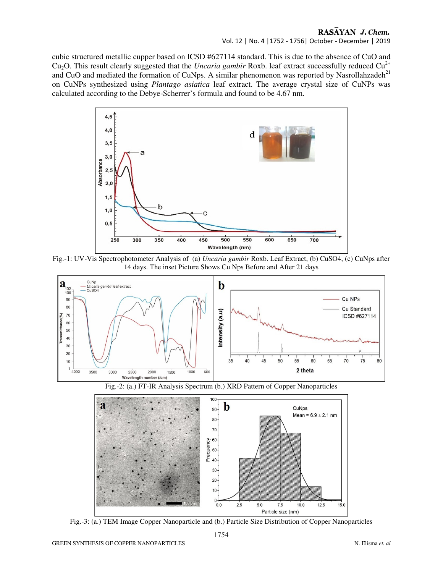## RASAYAN J. Chem.

### Vol. 12 | No. 4 |1752 - 1756| October - December | 2019

cubic structured metallic cupper based on ICSD #627114 standard. This is due to the absence of CuO and Cu<sub>2</sub>O. This result clearly suggested that the *Uncaria gambir* Roxb. leaf extract successfully reduced Cu<sup>2+</sup> and CuO and mediated the formation of CuNps. A similar phenomenon was reported by Nasrollahzadeh<sup>21</sup> on CuNPs synthesized using *Plantago asiatica* leaf extract. The average crystal size of CuNPs was calculated according to the Debye-Scherrer's formula and found to be 4.67 nm.



Fig.-1: UV-Vis Spectrophotometer Analysis of (a) *Uncaria gambir* Roxb. Leaf Extract, (b) CuSO4, (c) CuNps after 14 days. The inset Picture Shows Cu Nps Before and After 21 days



Fig.-2: (a.) FT-IR Analysis Spectrum (b.) XRD Pattern of Copper Nanoparticles



Fig.-3: (a.) TEM Image Copper Nanoparticle and (b.) Particle Size Distribution of Copper Nanoparticles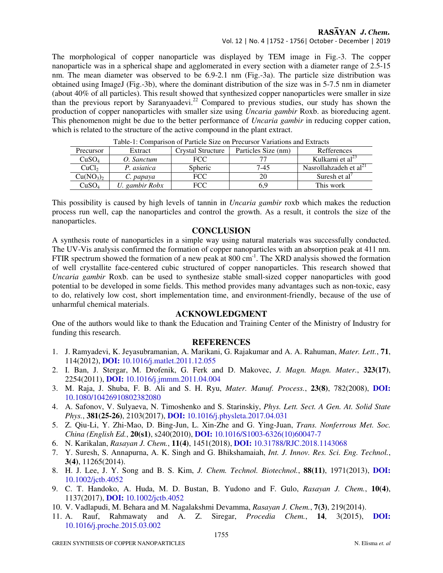### RASAYAN J. Chem.

Vol. 12 | No. 4 |1752 - 1756| October - December | 2019

The morphological of copper nanoparticle was displayed by TEM image in Fig.-3. The copper nanoparticle was in a spherical shape and agglomerated in every section with a diameter range of 2.5-15 nm. The mean diameter was observed to be 6.9-2.1 nm (Fig.-3a). The particle size distribution was obtained using ImageJ (Fig.-3b), where the dominant distribution of the size was in 5-7.5 nm in diameter (about 40% of all particles). This result showed that synthesized copper nanoparticles were smaller in size than the previous report by Saranyaadevi.<sup>22</sup> Compared to previous studies, our study has shown the production of copper nanoparticles with smaller size using *Uncaria gambir* Roxb. as bioreducing agent. This phenomenon might be due to the better performance of *Uncaria gambir* in reducing copper cation, which is related to the structure of the active compound in the plant extract.

| Tuble 1. Combanoon of Family Size on Flocation + analysis and Extracts |             |                   |                     |                                    |
|------------------------------------------------------------------------|-------------|-------------------|---------------------|------------------------------------|
| Precursor                                                              | Extract     | Crystal Structure | Particles Size (nm) | Refferences                        |
| CuSO <sub>4</sub>                                                      | . Sanctum   | FCC               |                     | Kulkarni et al <sup>23</sup>       |
| CuCl <sub>2</sub>                                                      | . asiatica  | <b>Spheric</b>    | 7-45                | Nasrollahzadeh et al <sup>21</sup> |
| Cu(NO <sub>3</sub> ) <sub>2</sub>                                      | ). papava   | FCC               |                     | Suresh et al'                      |
| CuSO <sub>4</sub>                                                      | gambir Robx | FCC               | 5.9                 | This work                          |

Table-1: Comparison of Particle Size on Precursor Variations and Extracts

This possibility is caused by high levels of tannin in *Uncaria gambir* roxb which makes the reduction process run well, cap the nanoparticles and control the growth. As a result, it controls the size of the nanoparticles.

### **CONCLUSION**

A synthesis route of nanoparticles in a simple way using natural materials was successfully conducted. The UV-Vis analysis confirmed the formation of copper nanoparticles with an absorption peak at 411 nm. FTIR spectrum showed the formation of a new peak at  $800 \text{ cm}^{-1}$ . The XRD analysis showed the formation of well crystallite face-centered cubic structured of copper nanoparticles. This research showed that *Uncaria gambir* Roxb. can be used to synthesize stable small-sized copper nanoparticles with good potential to be developed in some fields. This method provides many advantages such as non-toxic, easy to do, relatively low cost, short implementation time, and environment-friendly, because of the use of unharmful chemical materials.

### **ACKNOWLEDGMENT**

One of the authors would like to thank the Education and Training Center of the Ministry of Industry for funding this research.

### **REFERENCES**

- 1. J. Ramyadevi, K. Jeyasubramanian, A. Marikani, G. Rajakumar and A. A. Rahuman, *Mater. Lett.*, **71**, 114(2012), **DOI:** 10.1016/j.matlet.2011.12.055
- 2. I. Ban, J. Stergar, M. Drofenik, G. Ferk and D. Makovec, *J. Magn. Magn. Mater.*, **323(17)**, 2254(2011), **DOI:** 10.1016/j.jmmm.2011.04.004
- 3. M. Raja, J. Shuba, F. B. Ali and S. H. Ryu, *Mater. Manuf. Process.*, **23(8)**, 782(2008), **DOI:** 10.1080/10426910802382080
- 4. A. Safonov, V. Sulyaeva, N. Timoshenko and S. Starinskiy, *Phys. Lett. Sect. A Gen. At. Solid State Phys.*, **381(25-26)**, 2103(2017), **DOI:** 10.1016/j.physleta.2017.04.031
- 5. Z. Qiu-Li, Y. Zhi-Mao, D. Bing-Jun, L. Xin-Zhe and G. Ying-Juan, *Trans. Nonferrous Met. Soc. China (English Ed.*, **20(s1)**, s240(2010), **DOI:** 10.1016/S1003-6326(10)60047-7
- 6. N. Karikalan, *Rasayan J. Chem.*, **11(4)**, 1451(2018), **DOI:** 10.31788/RJC.2018.1143068
- 7. Y. Suresh, S. Annapurna, A. K. Singh and G. Bhikshamaiah, *Int. J. Innov. Res. Sci. Eng. Technol.*, **3(4)**, 11265(2014).
- 8. H. J. Lee, J. Y. Song and B. S. Kim, *J. Chem. Technol. Biotechnol.*, **88(11)**, 1971(2013), **DOI:** 10.1002/jctb.4052
- 9. C. T. Handoko, A. Huda, M. D. Bustan, B. Yudono and F. Gulo, *Rasayan J. Chem.*, **10(4)**, 1137(2017), **DOI:** 10.1002/jctb.4052
- 10. V. Vadlapudi, M. Behara and M. Nagalakshmi Devamma, *Rasayan J. Chem.*, **7(3)**, 219(2014).
- 11. A. Rauf, Rahmawaty and A. Z. Siregar, *Procedia Chem.*, **14**, 3(2015), **DOI:** 10.1016/j.proche.2015.03.002